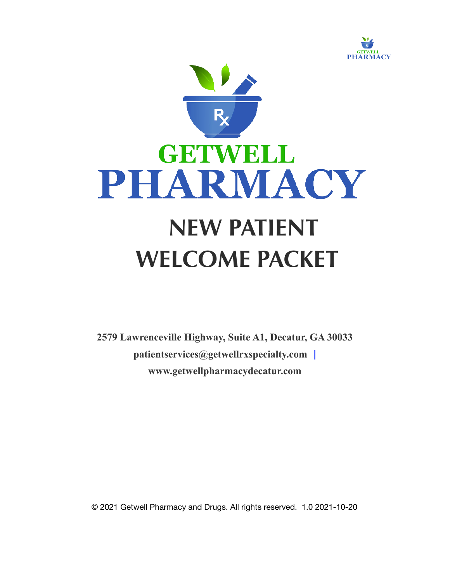



**2579 Lawrenceville Highway, Suite A1, Decatur, GA 30033 patientservices@getwellrxspecialty.com** | **www.getwellpharmacydecatur.com**

© 2021 Getwell Pharmacy and Drugs. All rights reserved. 1.0 2021-10-20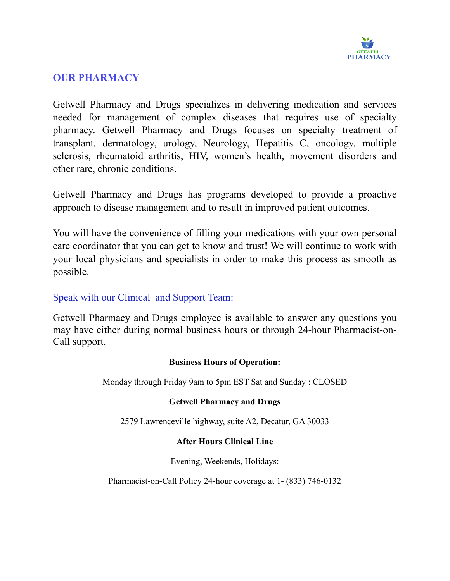

# **OUR PHARMACY**

Getwell Pharmacy and Drugs specializes in delivering medication and services needed for management of complex diseases that requires use of specialty pharmacy. Getwell Pharmacy and Drugs focuses on specialty treatment of transplant, dermatology, urology, Neurology, Hepatitis C, oncology, multiple sclerosis, rheumatoid arthritis, HIV, women's health, movement disorders and other rare, chronic conditions.

Getwell Pharmacy and Drugs has programs developed to provide a proactive approach to disease management and to result in improved patient outcomes.

You will have the convenience of filling your medications with your own personal care coordinator that you can get to know and trust! We will continue to work with your local physicians and specialists in order to make this process as smooth as possible.

# Speak with our Clinical and Support Team:

Getwell Pharmacy and Drugs employee is available to answer any questions you may have either during normal business hours or through 24-hour Pharmacist-on-Call support.

# **Business Hours of Operation:**

Monday through Friday 9am to 5pm EST Sat and Sunday : CLOSED

# **Getwell Pharmacy and Drugs**

2579 Lawrenceville highway, suite A2, Decatur, GA 30033

# **After Hours Clinical Line**

Evening, Weekends, Holidays:

Pharmacist-on-Call Policy 24-hour coverage at 1- (833) 746-0132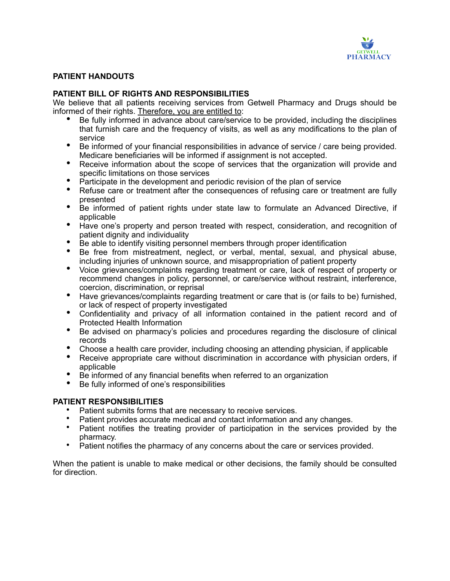

# **PATIENT HANDOUTS**

# **PATIENT BILL OF RIGHTS AND RESPONSIBILITIES**

We believe that all patients receiving services from Getwell Pharmacy and Drugs should be informed of their rights. Therefore, you are entitled to:

- Be fully informed in advance about care/service to be provided, including the disciplines that furnish care and the frequency of visits, as well as any modifications to the plan of service
- Be informed of your financial responsibilities in advance of service / care being provided. Medicare beneficiaries will be informed if assignment is not accepted.
- Receive information about the scope of services that the organization will provide and specific limitations on those services
- Participate in the development and periodic revision of the plan of service
- Refuse care or treatment after the consequences of refusing care or treatment are fully presented
- Be informed of patient rights under state law to formulate an Advanced Directive, if applicable
- Have one's property and person treated with respect, consideration, and recognition of patient dignity and individuality
- Be able to identify visiting personnel members through proper identification
- Be free from mistreatment, neglect, or verbal, mental, sexual, and physical abuse, including injuries of unknown source, and misappropriation of patient property
- Voice grievances/complaints regarding treatment or care, lack of respect of property or recommend changes in policy, personnel, or care/service without restraint, interference, coercion, discrimination, or reprisal
- Have grievances/complaints regarding treatment or care that is (or fails to be) furnished, or lack of respect of property investigated
- Confidentiality and privacy of all information contained in the patient record and of Protected Health Information
- Be advised on pharmacy's policies and procedures regarding the disclosure of clinical records
- Choose a health care provider, including choosing an attending physician, if applicable
- Receive appropriate care without discrimination in accordance with physician orders, if applicable
- Be informed of any financial benefits when referred to an organization
- Be fully informed of one's responsibilities

### **PATIENT RESPONSIBILITIES**

- Patient submits forms that are necessary to receive services.
- Patient provides accurate medical and contact information and any changes.
- Patient notifies the treating provider of participation in the services provided by the pharmacy.
- Patient notifies the pharmacy of any concerns about the care or services provided.

When the patient is unable to make medical or other decisions, the family should be consulted for direction.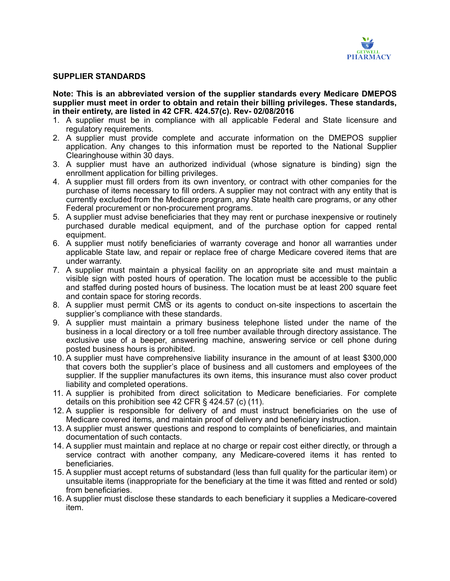

### **SUPPLIER STANDARDS**

**Note: This is an abbreviated version of the supplier standards every Medicare DMEPOS supplier must meet in order to obtain and retain their billing privileges. These standards, in their entirety, are listed in 42 CFR. 424.57(c). Rev- 02/08/2016**

- 1. A supplier must be in compliance with all applicable Federal and State licensure and regulatory requirements.
- 2. A supplier must provide complete and accurate information on the DMEPOS supplier application. Any changes to this information must be reported to the National Supplier Clearinghouse within 30 days.
- 3. A supplier must have an authorized individual (whose signature is binding) sign the enrollment application for billing privileges.
- 4. A supplier must fill orders from its own inventory, or contract with other companies for the purchase of items necessary to fill orders. A supplier may not contract with any entity that is currently excluded from the Medicare program, any State health care programs, or any other Federal procurement or non-procurement programs.
- 5. A supplier must advise beneficiaries that they may rent or purchase inexpensive or routinely purchased durable medical equipment, and of the purchase option for capped rental equipment.
- 6. A supplier must notify beneficiaries of warranty coverage and honor all warranties under applicable State law, and repair or replace free of charge Medicare covered items that are under warranty.
- 7. A supplier must maintain a physical facility on an appropriate site and must maintain a visible sign with posted hours of operation. The location must be accessible to the public and staffed during posted hours of business. The location must be at least 200 square feet and contain space for storing records.
- 8. A supplier must permit CMS or its agents to conduct on-site inspections to ascertain the supplier's compliance with these standards.
- 9. A supplier must maintain a primary business telephone listed under the name of the business in a local directory or a toll free number available through directory assistance. The exclusive use of a beeper, answering machine, answering service or cell phone during posted business hours is prohibited.
- 10. A supplier must have comprehensive liability insurance in the amount of at least \$300,000 that covers both the supplier's place of business and all customers and employees of the supplier. If the supplier manufactures its own items, this insurance must also cover product liability and completed operations.
- 11. A supplier is prohibited from direct solicitation to Medicare beneficiaries. For complete details on this prohibition see 42 CFR § 424.57 (c) (11).
- 12. A supplier is responsible for delivery of and must instruct beneficiaries on the use of Medicare covered items, and maintain proof of delivery and beneficiary instruction.
- 13. A supplier must answer questions and respond to complaints of beneficiaries, and maintain documentation of such contacts.
- 14. A supplier must maintain and replace at no charge or repair cost either directly, or through a service contract with another company, any Medicare-covered items it has rented to beneficiaries.
- 15. A supplier must accept returns of substandard (less than full quality for the particular item) or unsuitable items (inappropriate for the beneficiary at the time it was fitted and rented or sold) from beneficiaries.
- 16. A supplier must disclose these standards to each beneficiary it supplies a Medicare-covered item.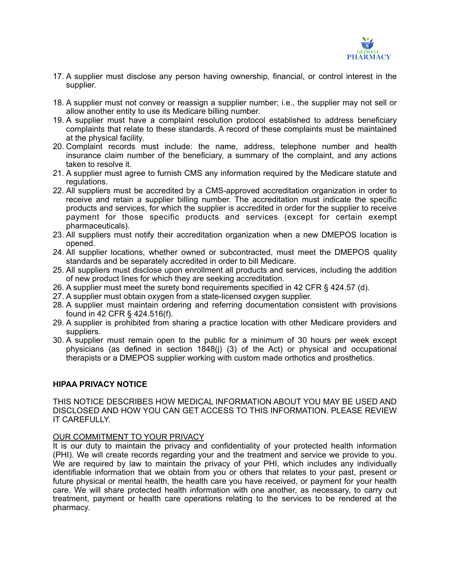

- 17. A supplier must disclose any person having ownership, financial, or control interest in the supplier.
- 18. A supplier must not convey or reassign a supplier number; i.e., the supplier may not sell or allow another entity to use its Medicare billing number.
- 19. A supplier must have a complaint resolution protocol established to address beneficiary complaints that relate to these standards. A record of these complaints must be maintained at the physical facility.
- 20. Complaint records must include: the name, address, telephone number and health insurance claim number of the beneficiary, a summary of the complaint, and any actions taken to resolve it.
- 21. A supplier must agree to furnish CMS any information required by the Medicare statute and regulations.
- 22. All suppliers must be accredited by a CMS-approved accreditation organization in order to receive and retain a supplier billing number. The accreditation must indicate the specific products and services, for which the supplier is accredited in order for the supplier to receive payment for those specific products and services (except for certain exempt pharmaceuticals).
- 23. All suppliers must notify their accreditation organization when a new DMEPOS location is opened.
- 24. All supplier locations, whether owned or subcontracted, must meet the DMEPOS quality standards and be separately accredited in order to bill Medicare.
- 25. All suppliers must disclose upon enrollment all products and services, including the addition of new product lines for which they are seeking accreditation.
- 26. A supplier must meet the surety bond requirements specified in 42 CFR § 424.57 (d).
- 27. A supplier must obtain oxygen from a state-licensed oxygen supplier.
- 28. A supplier must maintain ordering and referring documentation consistent with provisions found in 42 CFR § 424.516(f).
- 29. A supplier is prohibited from sharing a practice location with other Medicare providers and suppliers.
- 30. A supplier must remain open to the public for a minimum of 30 hours per week except physicians (as defined in section 1848(j) (3) of the Act) or physical and occupational therapists or a DMEPOS supplier working with custom made orthotics and prosthetics.

# **HIPAA PRIVACY NOTICE**

THIS NOTICE DESCRIBES HOW MEDICAL INFORMATION ABOUT YOU MAY BE USED AND DISCLOSED AND HOW YOU CAN GET ACCESS TO THIS INFORMATION. PLEASE REVIEW IT CAREFULLY.

### OUR COMMITMENT TO YOUR PRIVACY

It is our duty to maintain the privacy and confidentiality of your protected health information (PHI). We will create records regarding your and the treatment and service we provide to you. We are required by law to maintain the privacy of your PHI, which includes any individually identifiable information that we obtain from you or others that relates to your past, present or future physical or mental health, the health care you have received, or payment for your health care. We will share protected health information with one another, as necessary, to carry out treatment, payment or health care operations relating to the services to be rendered at the pharmacy.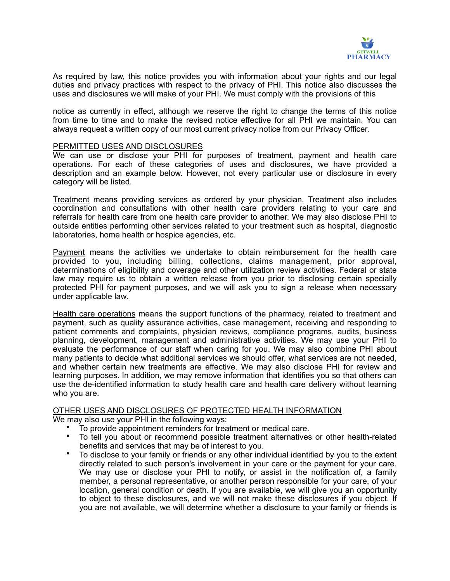

As required by law, this notice provides you with information about your rights and our legal duties and privacy practices with respect to the privacy of PHI. This notice also discusses the uses and disclosures we will make of your PHI. We must comply with the provisions of this

notice as currently in effect, although we reserve the right to change the terms of this notice from time to time and to make the revised notice effective for all PHI we maintain. You can always request a written copy of our most current privacy notice from our Privacy Officer.

#### PERMITTED USES AND DISCLOSURES

We can use or disclose your PHI for purposes of treatment, payment and health care operations. For each of these categories of uses and disclosures, we have provided a description and an example below. However, not every particular use or disclosure in every category will be listed.

Treatment means providing services as ordered by your physician. Treatment also includes coordination and consultations with other health care providers relating to your care and referrals for health care from one health care provider to another. We may also disclose PHI to outside entities performing other services related to your treatment such as hospital, diagnostic laboratories, home health or hospice agencies, etc.

Payment means the activities we undertake to obtain reimbursement for the health care provided to you, including billing, collections, claims management, prior approval, determinations of eligibility and coverage and other utilization review activities. Federal or state law may require us to obtain a written release from you prior to disclosing certain specially protected PHI for payment purposes, and we will ask you to sign a release when necessary under applicable law.

Health care operations means the support functions of the pharmacy, related to treatment and payment, such as quality assurance activities, case management, receiving and responding to patient comments and complaints, physician reviews, compliance programs, audits, business planning, development, management and administrative activities. We may use your PHI to evaluate the performance of our staff when caring for you. We may also combine PHI about many patients to decide what additional services we should offer, what services are not needed, and whether certain new treatments are effective. We may also disclose PHI for review and learning purposes. In addition, we may remove information that identifies you so that others can use the de-identified information to study health care and health care delivery without learning who you are.

#### OTHER USES AND DISCLOSURES OF PROTECTED HEALTH INFORMATION

We may also use your PHI in the following ways:

- To provide appointment reminders for treatment or medical care.
- To tell you about or recommend possible treatment alternatives or other health-related benefits and services that may be of interest to you.
- To disclose to your family or friends or any other individual identified by you to the extent directly related to such person's involvement in your care or the payment for your care. We may use or disclose your PHI to notify, or assist in the notification of, a family member, a personal representative, or another person responsible for your care, of your location, general condition or death. If you are available, we will give you an opportunity to object to these disclosures, and we will not make these disclosures if you object. If you are not available, we will determine whether a disclosure to your family or friends is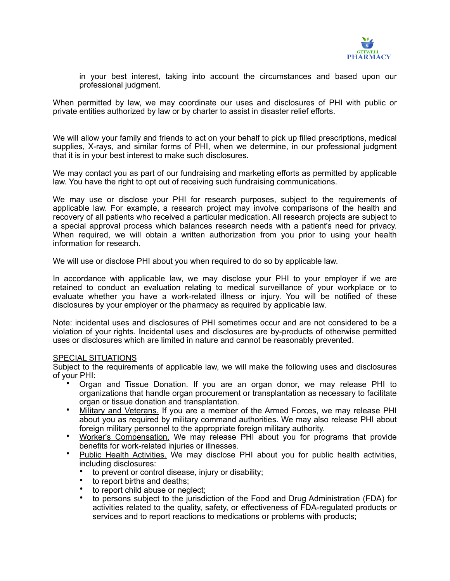

in your best interest, taking into account the circumstances and based upon our professional judgment.

When permitted by law, we may coordinate our uses and disclosures of PHI with public or private entities authorized by law or by charter to assist in disaster relief efforts.

We will allow your family and friends to act on your behalf to pick up filled prescriptions, medical supplies, X-rays, and similar forms of PHI, when we determine, in our professional judgment that it is in your best interest to make such disclosures.

We may contact you as part of our fundraising and marketing efforts as permitted by applicable law. You have the right to opt out of receiving such fundraising communications.

We may use or disclose your PHI for research purposes, subject to the requirements of applicable law. For example, a research project may involve comparisons of the health and recovery of all patients who received a particular medication. All research projects are subject to a special approval process which balances research needs with a patient's need for privacy. When required, we will obtain a written authorization from you prior to using your health information for research.

We will use or disclose PHI about you when required to do so by applicable law.

In accordance with applicable law, we may disclose your PHI to your employer if we are retained to conduct an evaluation relating to medical surveillance of your workplace or to evaluate whether you have a work-related illness or injury. You will be notified of these disclosures by your employer or the pharmacy as required by applicable law.

Note: incidental uses and disclosures of PHI sometimes occur and are not considered to be a violation of your rights. Incidental uses and disclosures are by-products of otherwise permitted uses or disclosures which are limited in nature and cannot be reasonably prevented.

#### SPECIAL SITUATIONS

Subject to the requirements of applicable law, we will make the following uses and disclosures of your PHI:

- Organ and Tissue Donation. If you are an organ donor, we may release PHI to organizations that handle organ procurement or transplantation as necessary to facilitate organ or tissue donation and transplantation.
- Military and Veterans. If you are a member of the Armed Forces, we may release PHI about you as required by military command authorities. We may also release PHI about foreign military personnel to the appropriate foreign military authority.
- Worker's Compensation. We may release PHI about you for programs that provide benefits for work-related injuries or illnesses.
- Public Health Activities. We may disclose PHI about you for public health activities, including disclosures:
	- to prevent or control disease, injury or disability;
	- to report births and deaths;
	- to report child abuse or neglect;
	- to persons subject to the jurisdiction of the Food and Drug Administration (FDA) for activities related to the quality, safety, or effectiveness of FDA-regulated products or services and to report reactions to medications or problems with products;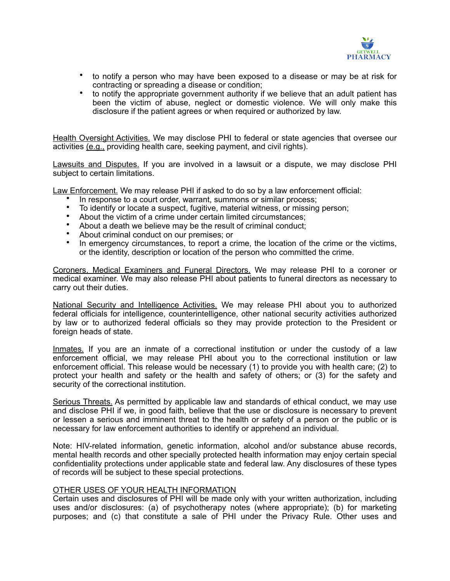

- to notify a person who may have been exposed to a disease or may be at risk for contracting or spreading a disease or condition;
- to notify the appropriate government authority if we believe that an adult patient has been the victim of abuse, neglect or domestic violence. We will only make this disclosure if the patient agrees or when required or authorized by law.

Health Oversight Activities. We may disclose PHI to federal or state agencies that oversee our activities (e.g., providing health care, seeking payment, and civil rights).

Lawsuits and Disputes. If you are involved in a lawsuit or a dispute, we may disclose PHI subject to certain limitations.

Law Enforcement. We may release PHI if asked to do so by a law enforcement official:

- In response to a court order, warrant, summons or similar process;
- To identify or locate a suspect, fugitive, material witness, or missing person;
- About the victim of a crime under certain limited circumstances;
- About a death we believe may be the result of criminal conduct;
- About criminal conduct on our premises; or
- In emergency circumstances, to report a crime, the location of the crime or the victims, or the identity, description or location of the person who committed the crime.

Coroners, Medical Examiners and Funeral Directors. We may release PHI to a coroner or medical examiner. We may also release PHI about patients to funeral directors as necessary to carry out their duties.

National Security and Intelligence Activities. We may release PHI about you to authorized federal officials for intelligence, counterintelligence, other national security activities authorized by law or to authorized federal officials so they may provide protection to the President or foreign heads of state.

Inmates. If you are an inmate of a correctional institution or under the custody of a law enforcement official, we may release PHI about you to the correctional institution or law enforcement official. This release would be necessary (1) to provide you with health care; (2) to protect your health and safety or the health and safety of others; or (3) for the safety and security of the correctional institution.

Serious Threats. As permitted by applicable law and standards of ethical conduct, we may use and disclose PHI if we, in good faith, believe that the use or disclosure is necessary to prevent or lessen a serious and imminent threat to the health or safety of a person or the public or is necessary for law enforcement authorities to identify or apprehend an individual.

Note: HIV-related information, genetic information, alcohol and/or substance abuse records, mental health records and other specially protected health information may enjoy certain special confidentiality protections under applicable state and federal law. Any disclosures of these types of records will be subject to these special protections.

### OTHER USES OF YOUR HEALTH INFORMATION

Certain uses and disclosures of PHI will be made only with your written authorization, including uses and/or disclosures: (a) of psychotherapy notes (where appropriate); (b) for marketing purposes; and (c) that constitute a sale of PHI under the Privacy Rule. Other uses and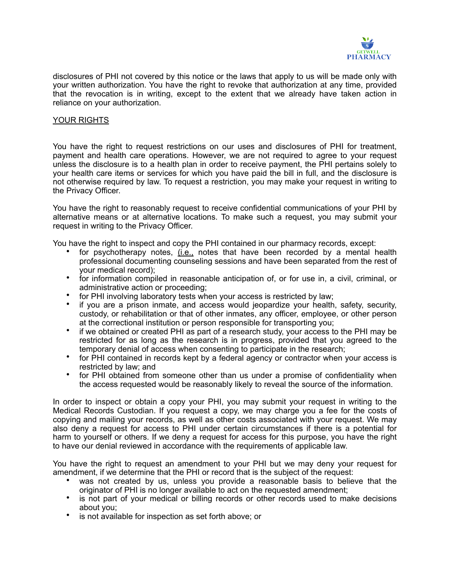

disclosures of PHI not covered by this notice or the laws that apply to us will be made only with your written authorization. You have the right to revoke that authorization at any time, provided that the revocation is in writing, except to the extent that we already have taken action in reliance on your authorization.

### YOUR RIGHTS

You have the right to request restrictions on our uses and disclosures of PHI for treatment, payment and health care operations. However, we are not required to agree to your request unless the disclosure is to a health plan in order to receive payment, the PHI pertains solely to your health care items or services for which you have paid the bill in full, and the disclosure is not otherwise required by law. To request a restriction, you may make your request in writing to the Privacy Officer.

You have the right to reasonably request to receive confidential communications of your PHI by alternative means or at alternative locations. To make such a request, you may submit your request in writing to the Privacy Officer.

You have the right to inspect and copy the PHI contained in our pharmacy records, except:

- for psychotherapy notes, (i.e., notes that have been recorded by a mental health professional documenting counseling sessions and have been separated from the rest of your medical record);
- for information compiled in reasonable anticipation of, or for use in, a civil, criminal, or administrative action or proceeding;
- for PHI involving laboratory tests when your access is restricted by law;
- if you are a prison inmate, and access would jeopardize your health, safety, security, custody, or rehabilitation or that of other inmates, any officer, employee, or other person at the correctional institution or person responsible for transporting you;
- if we obtained or created PHI as part of a research study, your access to the PHI may be restricted for as long as the research is in progress, provided that you agreed to the temporary denial of access when consenting to participate in the research;
- for PHI contained in records kept by a federal agency or contractor when your access is restricted by law; and
- for PHI obtained from someone other than us under a promise of confidentiality when the access requested would be reasonably likely to reveal the source of the information.

In order to inspect or obtain a copy your PHI, you may submit your request in writing to the Medical Records Custodian. If you request a copy, we may charge you a fee for the costs of copying and mailing your records, as well as other costs associated with your request. We may also deny a request for access to PHI under certain circumstances if there is a potential for harm to yourself or others. If we deny a request for access for this purpose, you have the right to have our denial reviewed in accordance with the requirements of applicable law.

You have the right to request an amendment to your PHI but we may deny your request for amendment, if we determine that the PHI or record that is the subject of the request:

- was not created by us, unless you provide a reasonable basis to believe that the originator of PHI is no longer available to act on the requested amendment;
- is not part of your medical or billing records or other records used to make decisions about you;
- is not available for inspection as set forth above; or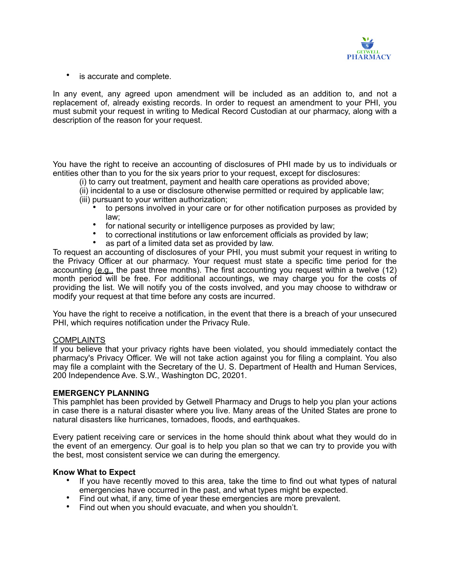

• is accurate and complete.

In any event, any agreed upon amendment will be included as an addition to, and not a replacement of, already existing records. In order to request an amendment to your PHI, you must submit your request in writing to Medical Record Custodian at our pharmacy, along with a description of the reason for your request.

You have the right to receive an accounting of disclosures of PHI made by us to individuals or entities other than to you for the six years prior to your request, except for disclosures:

(i) to carry out treatment, payment and health care operations as provided above;

(ii) incidental to a use or disclosure otherwise permitted or required by applicable law;

- (iii) pursuant to your written authorization;
	- to persons involved in your care or for other notification purposes as provided by law;
	- for national security or intelligence purposes as provided by law;<br>• to correctional institutions or law orthropoment officials as provided
	- to correctional institutions or law enforcement officials as provided by law;
	- as part of a limited data set as provided by law.

To request an accounting of disclosures of your PHI, you must submit your request in writing to the Privacy Officer at our pharmacy. Your request must state a specific time period for the accounting (e.g., the past three months). The first accounting you request within a twelve (12) month period will be free. For additional accountings, we may charge you for the costs of providing the list. We will notify you of the costs involved, and you may choose to withdraw or modify your request at that time before any costs are incurred.

You have the right to receive a notification, in the event that there is a breach of your unsecured PHI, which requires notification under the Privacy Rule.

### **COMPLAINTS**

If you believe that your privacy rights have been violated, you should immediately contact the pharmacy's Privacy Officer. We will not take action against you for filing a complaint. You also may file a complaint with the Secretary of the U. S. Department of Health and Human Services, 200 Independence Ave. S.W., Washington DC, 20201.

### **EMERGENCY PLANNING**

This pamphlet has been provided by Getwell Pharmacy and Drugs to help you plan your actions in case there is a natural disaster where you live. Many areas of the United States are prone to natural disasters like hurricanes, tornadoes, floods, and earthquakes.

Every patient receiving care or services in the home should think about what they would do in the event of an emergency. Our goal is to help you plan so that we can try to provide you with the best, most consistent service we can during the emergency.

### **Know What to Expect**

- If you have recently moved to this area, take the time to find out what types of natural emergencies have occurred in the past, and what types might be expected.
- Find out what, if any, time of year these emergencies are more prevalent.
- Find out when you should evacuate, and when you shouldn't.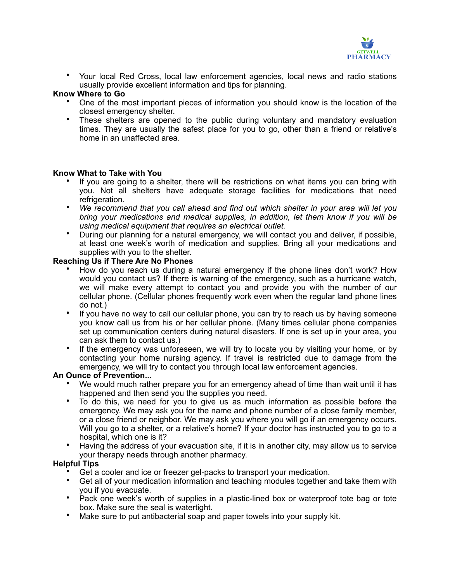

• Your local Red Cross, local law enforcement agencies, local news and radio stations usually provide excellent information and tips for planning.

### **Know Where to Go**

- One of the most important pieces of information you should know is the location of the closest emergency shelter.
- These shelters are opened to the public during voluntary and mandatory evaluation times. They are usually the safest place for you to go, other than a friend or relative's home in an unaffected area.

### **Know What to Take with You**

- If you are going to a shelter, there will be restrictions on what items you can bring with you. Not all shelters have adequate storage facilities for medications that need refrigeration.
- *We recommend that you call ahead and find out which shelter in your area will let you bring your medications and medical supplies, in addition, let them know if you will be using medical equipment that requires an electrical outlet.*
- During our planning for a natural emergency, we will contact you and deliver, if possible, at least one week's worth of medication and supplies. Bring all your medications and supplies with you to the shelter.

### **Reaching Us if There Are No Phones**

- How do you reach us during a natural emergency if the phone lines don't work? How would you contact us? If there is warning of the emergency, such as a hurricane watch, we will make every attempt to contact you and provide you with the number of our cellular phone. (Cellular phones frequently work even when the regular land phone lines do not.)
- If you have no way to call our cellular phone, you can try to reach us by having someone you know call us from his or her cellular phone. (Many times cellular phone companies set up communication centers during natural disasters. If one is set up in your area, you can ask them to contact us.)
- If the emergency was unforeseen, we will try to locate you by visiting your home, or by contacting your home nursing agency. If travel is restricted due to damage from the emergency, we will try to contact you through local law enforcement agencies.

### **An Ounce of Prevention...**

- We would much rather prepare you for an emergency ahead of time than wait until it has happened and then send you the supplies you need.
- To do this, we need for you to give us as much information as possible before the emergency. We may ask you for the name and phone number of a close family member, or a close friend or neighbor. We may ask you where you will go if an emergency occurs. Will you go to a shelter, or a relative's home? If your doctor has instructed you to go to a hospital, which one is it?
- Having the address of your evacuation site, if it is in another city, may allow us to service your therapy needs through another pharmacy.

# **Helpful Tips**

- Get a cooler and ice or freezer gel-packs to transport your medication.
- Get all of your medication information and teaching modules together and take them with you if you evacuate.
- Pack one week's worth of supplies in a plastic-lined box or waterproof tote bag or tote box. Make sure the seal is watertight.
- Make sure to put antibacterial soap and paper towels into your supply kit.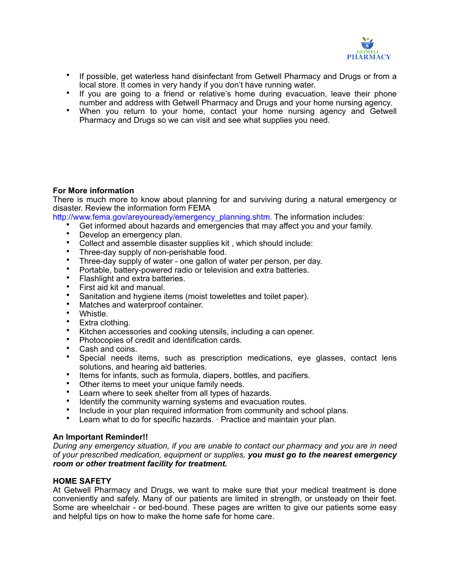

- If possible, get waterless hand disinfectant from Getwell Pharmacy and Drugs or from a local store. It comes in very handy if you don't have running water.
- If you are going to a friend or relative's home during evacuation, leave their phone number and address with Getwell Pharmacy and Drugs and your home nursing agency.
- When you return to your home, contact your home nursing agency and Getwell Pharmacy and Drugs so we can visit and see what supplies you need.

# **For More information**

There is much more to know about planning for and surviving during a natural emergency or disaster. Review the information form FEMA

http://www.fema.gov/areyouready/emergency\_planning.shtm. The information includes:

- Get informed about hazards and emergencies that may affect you and your family.
- Develop an emergency plan.
- Collect and assemble disaster supplies kit , which should include:
- Three-day supply of non-perishable food.
- Three-day supply of water one gallon of water per person, per day.
- Portable, battery-powered radio or television and extra batteries.
- Flashlight and extra batteries.
- First aid kit and manual.
- Sanitation and hygiene items (moist towelettes and toilet paper).
- Matches and waterproof container.
- Whistle.
- Extra clothing.
- Kitchen accessories and cooking utensils, including a can opener.
- Photocopies of credit and identification cards.
- Cash and coins.
- Special needs items, such as prescription medications, eye glasses, contact lens solutions, and hearing aid batteries.
- Items for infants, such as formula, diapers, bottles, and pacifiers.
- Other items to meet your unique family needs.
- Learn where to seek shelter from all types of hazards.
- Identify the community warning systems and evacuation routes.
- Include in your plan required information from community and school plans.
- Learn what to do for specific hazards. · Practice and maintain your plan.

### **An Important Reminder!!**

*During any emergency situation, if you are unable to contact our pharmacy and you are in need of your prescribed medication, equipment or supplies, you must go to the nearest emergency room or other treatment facility for treatment.* 

### **HOME SAFETY**

At Getwell Pharmacy and Drugs, we want to make sure that your medical treatment is done conveniently and safely. Many of our patients are limited in strength, or unsteady on their feet. Some are wheelchair - or bed-bound. These pages are written to give our patients some easy and helpful tips on how to make the home safe for home care.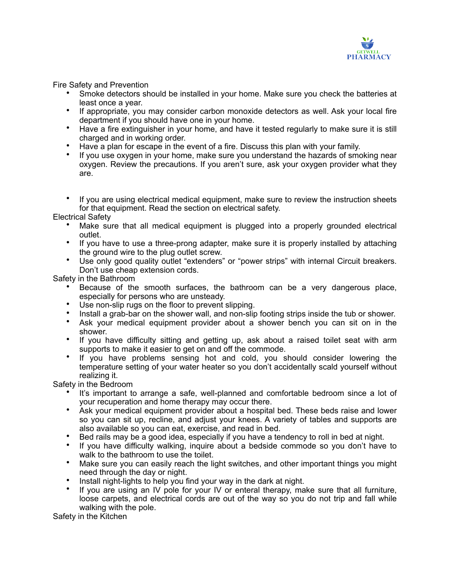

Fire Safety and Prevention

- Smoke detectors should be installed in your home. Make sure you check the batteries at least once a year.
- If appropriate, you may consider carbon monoxide detectors as well. Ask your local fire department if you should have one in your home.
- Have a fire extinguisher in your home, and have it tested regularly to make sure it is still charged and in working order.
- Have a plan for escape in the event of a fire. Discuss this plan with your family.
- If you use oxygen in your home, make sure you understand the hazards of smoking near oxygen. Review the precautions. If you aren't sure, ask your oxygen provider what they are.
- If you are using electrical medical equipment, make sure to review the instruction sheets for that equipment. Read the section on electrical safety.

Electrical Safety

- Make sure that all medical equipment is plugged into a properly grounded electrical outlet.
- If you have to use a three-prong adapter, make sure it is properly installed by attaching the ground wire to the plug outlet screw.
- Use only good quality outlet "extenders" or "power strips" with internal Circuit breakers. Don't use cheap extension cords.

Safety in the Bathroom

- Because of the smooth surfaces, the bathroom can be a very dangerous place, especially for persons who are unsteady.
- Use non-slip rugs on the floor to prevent slipping.
- Install a grab-bar on the shower wall, and non-slip footing strips inside the tub or shower.
- Ask your medical equipment provider about a shower bench you can sit on in the shower.
- If you have difficulty sitting and getting up, ask about a raised toilet seat with arm supports to make it easier to get on and off the commode.
- If you have problems sensing hot and cold, you should consider lowering the temperature setting of your water heater so you don't accidentally scald yourself without realizing it.

Safety in the Bedroom

- It's important to arrange a safe, well-planned and comfortable bedroom since a lot of your recuperation and home therapy may occur there.
- Ask your medical equipment provider about a hospital bed. These beds raise and lower so you can sit up, recline, and adjust your knees. A variety of tables and supports are also available so you can eat, exercise, and read in bed.
- Bed rails may be a good idea, especially if you have a tendency to roll in bed at night.
- If you have difficulty walking, inquire about a bedside commode so you don't have to walk to the bathroom to use the toilet.
- Make sure you can easily reach the light switches, and other important things you might need through the day or night.
- Install night-lights to help you find your way in the dark at night.
- If you are using an IV pole for your IV or enteral therapy, make sure that all furniture, loose carpets, and electrical cords are out of the way so you do not trip and fall while walking with the pole.

Safety in the Kitchen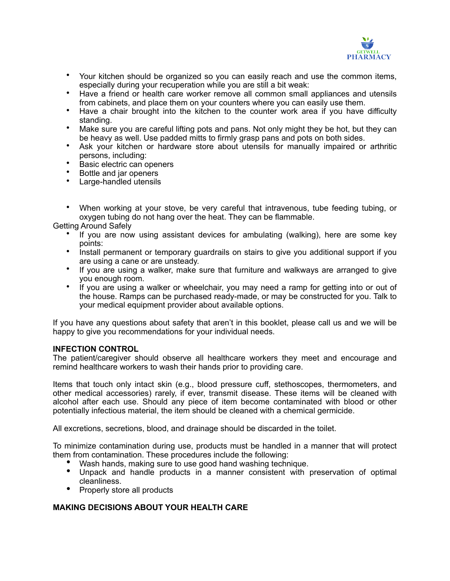

- Your kitchen should be organized so you can easily reach and use the common items, especially during your recuperation while you are still a bit weak:
- Have a friend or health care worker remove all common small appliances and utensils from cabinets, and place them on your counters where you can easily use them.
- Have a chair brought into the kitchen to the counter work area if you have difficulty standing.
- Make sure you are careful lifting pots and pans. Not only might they be hot, but they can be heavy as well. Use padded mitts to firmly grasp pans and pots on both sides.
- Ask your kitchen or hardware store about utensils for manually impaired or arthritic persons, including:
- Basic electric can openers
- Bottle and jar openers
- Large-handled utensils
- When working at your stove, be very careful that intravenous, tube feeding tubing, or oxygen tubing do not hang over the heat. They can be flammable.

Getting Around Safely

- If you are now using assistant devices for ambulating (walking), here are some key points:
- Install permanent or temporary guardrails on stairs to give you additional support if you are using a cane or are unsteady.
- If you are using a walker, make sure that furniture and walkways are arranged to give you enough room.
- If you are using a walker or wheelchair, you may need a ramp for getting into or out of the house. Ramps can be purchased ready-made, or may be constructed for you. Talk to your medical equipment provider about available options.

If you have any questions about safety that aren't in this booklet, please call us and we will be happy to give you recommendations for your individual needs.

### **INFECTION CONTROL**

The patient/caregiver should observe all healthcare workers they meet and encourage and remind healthcare workers to wash their hands prior to providing care.

Items that touch only intact skin (e.g., blood pressure cuff, stethoscopes, thermometers, and other medical accessories) rarely, if ever, transmit disease. These items will be cleaned with alcohol after each use. Should any piece of item become contaminated with blood or other potentially infectious material, the item should be cleaned with a chemical germicide.

All excretions, secretions, blood, and drainage should be discarded in the toilet.

To minimize contamination during use, products must be handled in a manner that will protect them from contamination. These procedures include the following:

- Wash hands, making sure to use good hand washing technique.
- Unpack and handle products in a manner consistent with preservation of optimal cleanliness.
- Properly store all products

### **MAKING DECISIONS ABOUT YOUR HEALTH CARE**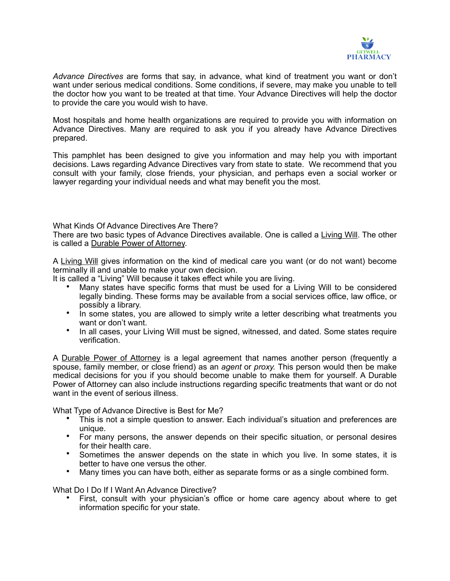

*Advance Directives* are forms that say, in advance, what kind of treatment you want or don't want under serious medical conditions. Some conditions, if severe, may make you unable to tell the doctor how you want to be treated at that time. Your Advance Directives will help the doctor to provide the care you would wish to have.

Most hospitals and home health organizations are required to provide you with information on Advance Directives. Many are required to ask you if you already have Advance Directives prepared.

This pamphlet has been designed to give you information and may help you with important decisions. Laws regarding Advance Directives vary from state to state. We recommend that you consult with your family, close friends, your physician, and perhaps even a social worker or lawyer regarding your individual needs and what may benefit you the most.

What Kinds Of Advance Directives Are There?

There are two basic types of Advance Directives available. One is called a Living Will. The other is called a Durable Power of Attorney.

A Living Will gives information on the kind of medical care you want (or do not want) become terminally ill and unable to make your own decision.

It is called a "Living" Will because it takes effect while you are living.

- Many states have specific forms that must be used for a Living Will to be considered legally binding. These forms may be available from a social services office, law office, or possibly a library.
- In some states, you are allowed to simply write a letter describing what treatments you want or don't want.
- In all cases, your Living Will must be signed, witnessed, and dated. Some states require verification.

A Durable Power of Attorney is a legal agreement that names another person (frequently a spouse, family member, or close friend) as an *agent* or *proxy.* This person would then be make medical decisions for you if you should become unable to make them for yourself. A Durable Power of Attorney can also include instructions regarding specific treatments that want or do not want in the event of serious illness.

What Type of Advance Directive is Best for Me?

- This is not a simple question to answer. Each individual's situation and preferences are unique.
- For many persons, the answer depends on their specific situation, or personal desires for their health care.
- Sometimes the answer depends on the state in which you live. In some states, it is better to have one versus the other.
- Many times you can have both, either as separate forms or as a single combined form.

What Do I Do If I Want An Advance Directive?

• First, consult with your physician's office or home care agency about where to get information specific for your state.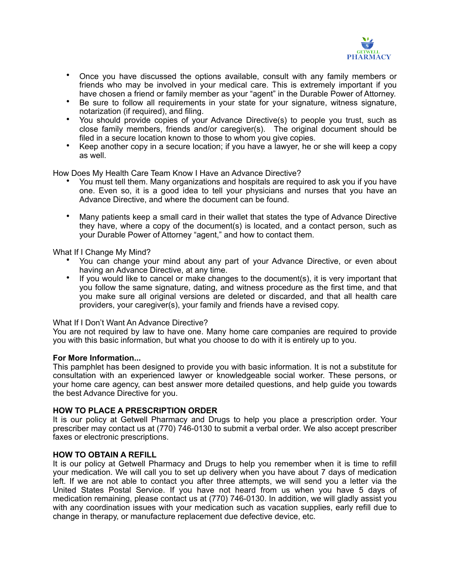

- Once you have discussed the options available, consult with any family members or friends who may be involved in your medical care. This is extremely important if you have chosen a friend or family member as your "agent" in the Durable Power of Attorney.
- Be sure to follow all requirements in your state for your signature, witness signature, notarization (if required), and filing.
- You should provide copies of your Advance Directive(s) to people you trust, such as close family members, friends and/or caregiver(s). The original document should be filed in a secure location known to those to whom you give copies.
- Keep another copy in a secure location; if you have a lawyer, he or she will keep a copy as well.

How Does My Health Care Team Know I Have an Advance Directive?

- You must tell them. Many organizations and hospitals are required to ask you if you have one. Even so, it is a good idea to tell your physicians and nurses that you have an Advance Directive, and where the document can be found.
- Many patients keep a small card in their wallet that states the type of Advance Directive they have, where a copy of the document(s) is located, and a contact person, such as your Durable Power of Attorney "agent," and how to contact them.

What If I Change My Mind?

- You can change your mind about any part of your Advance Directive, or even about having an Advance Directive, at any time.
- If you would like to cancel or make changes to the document(s), it is very important that you follow the same signature, dating, and witness procedure as the first time, and that you make sure all original versions are deleted or discarded, and that all health care providers, your caregiver(s), your family and friends have a revised copy.

What If I Don't Want An Advance Directive?

You are not required by law to have one. Many home care companies are required to provide you with this basic information, but what you choose to do with it is entirely up to you.

### **For More Information...**

This pamphlet has been designed to provide you with basic information. It is not a substitute for consultation with an experienced lawyer or knowledgeable social worker. These persons, or your home care agency, can best answer more detailed questions, and help guide you towards the best Advance Directive for you.

### **HOW TO PLACE A PRESCRIPTION ORDER**

It is our policy at Getwell Pharmacy and Drugs to help you place a prescription order. Your prescriber may contact us at (770) 746-0130 to submit a verbal order. We also accept prescriber faxes or electronic prescriptions.

#### **HOW TO OBTAIN A REFILL**

It is our policy at Getwell Pharmacy and Drugs to help you remember when it is time to refill your medication. We will call you to set up delivery when you have about 7 days of medication left. If we are not able to contact you after three attempts, we will send you a letter via the United States Postal Service. If you have not heard from us when you have 5 days of medication remaining, please contact us at (770) 746-0130. In addition, we will gladly assist you with any coordination issues with your medication such as vacation supplies, early refill due to change in therapy, or manufacture replacement due defective device, etc.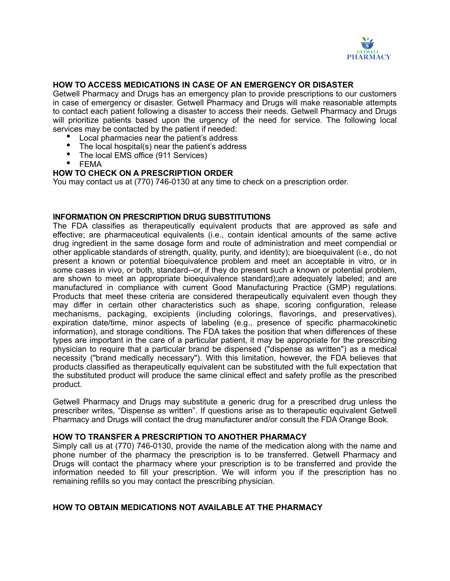

# **HOW TO ACCESS MEDICATIONS IN CASE OF AN EMERGENCY OR DISASTER**

Getwell Pharmacy and Drugs has an emergency plan to provide prescriptions to our customers in case of emergency or disaster. Getwell Pharmacy and Drugs will make reasonable attempts to contact each patient following a disaster to access their needs. Getwell Pharmacy and Drugs will prioritize patients based upon the urgency of the need for service. The following local services may be contacted by the patient if needed:

- Local pharmacies near the patient's address
- The local hospital(s) near the patient's address
- The local EMS office (911 Services)
- FEMA

### **HOW TO CHECK ON A PRESCRIPTION ORDER**

You may contact us at (770) 746-0130 at any time to check on a prescription order.

#### **INFORMATION ON PRESCRIPTION DRUG SUBSTITUTIONS**

The FDA classifies as therapeutically equivalent products that are approved as safe and effective; are pharmaceutical equivalents (i.e., contain identical amounts of the same active drug ingredient in the same dosage form and route of administration and meet compendial or other applicable standards of strength, quality, purity, and identity); are bioequivalent (i.e., do not present a known or potential bioequivalence problem and meet an acceptable in vitro, or in some cases in vivo, or both, standard--or, if they do present such a known or potential problem, are shown to meet an appropriate bioequivalence standard);are adequately labeled; and are manufactured in compliance with current Good Manufacturing Practice (GMP) regulations. Products that meet these criteria are considered therapeutically equivalent even though they may differ in certain other characteristics such as shape, scoring configuration, release mechanisms, packaging, excipients (including colorings, flavorings, and preservatives), expiration date/time, minor aspects of labeling (e.g., presence of specific pharmacokinetic information), and storage conditions. The FDA takes the position that when differences of these types are important in the care of a particular patient, it may be appropriate for the prescribing physician to require that a particular brand be dispensed ("dispense as written") as a medical necessity ("brand medically necessary"). With this limitation, however, the FDA believes that products classified as therapeutically equivalent can be substituted with the full expectation that the substituted product will produce the same clinical effect and safety profile as the prescribed product.

Getwell Pharmacy and Drugs may substitute a generic drug for a prescribed drug unless the prescriber writes, "Dispense as written". If questions arise as to therapeutic equivalent Getwell Pharmacy and Drugs will contact the drug manufacturer and/or consult the FDA Orange Book.

### **HOW TO TRANSFER A PRESCRIPTION TO ANOTHER PHARMACY**

Simply call us at (770) 746-0130, provide the name of the medication along with the name and phone number of the pharmacy the prescription is to be transferred. Getwell Pharmacy and Drugs will contact the pharmacy where your prescription is to be transferred and provide the information needed to fill your prescription. We will inform you if the prescription has no remaining refills so you may contact the prescribing physician.

#### **HOW TO OBTAIN MEDICATIONS NOT AVAILABLE AT THE PHARMACY**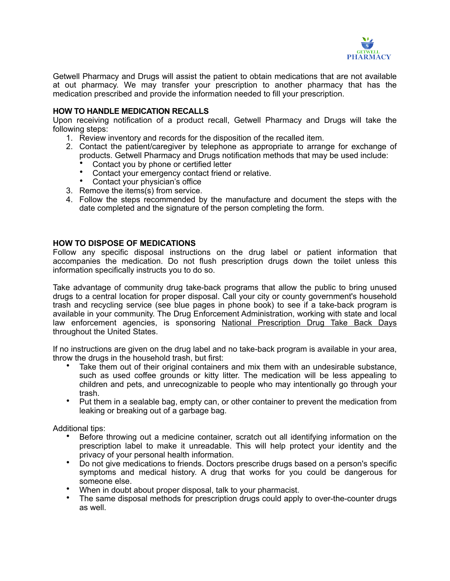

Getwell Pharmacy and Drugs will assist the patient to obtain medications that are not available at out pharmacy. We may transfer your prescription to another pharmacy that has the medication prescribed and provide the information needed to fill your prescription.

### **HOW TO HANDLE MEDICATION RECALLS**

Upon receiving notification of a product recall, Getwell Pharmacy and Drugs will take the following steps:

- 1. Review inventory and records for the disposition of the recalled item.
- 2. Contact the patient/caregiver by telephone as appropriate to arrange for exchange of products. Getwell Pharmacy and Drugs notification methods that may be used include:
	- Contact you by phone or certified letter
	- Contact your emergency contact friend or relative.
	- Contact your physician's office
- 3. Remove the items(s) from service.
- 4. Follow the steps recommended by the manufacture and document the steps with the date completed and the signature of the person completing the form.

### **HOW TO DISPOSE OF MEDICATIONS**

Follow any specific disposal instructions on the drug label or patient information that accompanies the medication. Do not flush prescription drugs down the toilet unless this information specifically instructs you to do so.

Take advantage of community drug take-back programs that allow the public to bring unused drugs to a central location for proper disposal. Call your city or county government's household trash and recycling service (see blue pages in phone book) to see if a take-back program is available in your community. The Drug Enforcement Administration, working with state and local law enforcement agencies, is sponsoring National Prescription Drug Take Back Days throughout the United States.

If no instructions are given on the drug label and no take-back program is available in your area, throw the drugs in the household trash, but first:

- Take them out of their original containers and mix them with an undesirable substance, such as used coffee grounds or kitty litter. The medication will be less appealing to children and pets, and unrecognizable to people who may intentionally go through your trash.
- Put them in a sealable bag, empty can, or other container to prevent the medication from leaking or breaking out of a garbage bag.

Additional tips:

- Before throwing out a medicine container, scratch out all identifying information on the prescription label to make it unreadable. This will help protect your identity and the privacy of your personal health information.
- Do not give medications to friends. Doctors prescribe drugs based on a person's specific symptoms and medical history. A drug that works for you could be dangerous for someone else.
- When in doubt about proper disposal, talk to your pharmacist.
- The same disposal methods for prescription drugs could apply to over-the-counter drugs as well.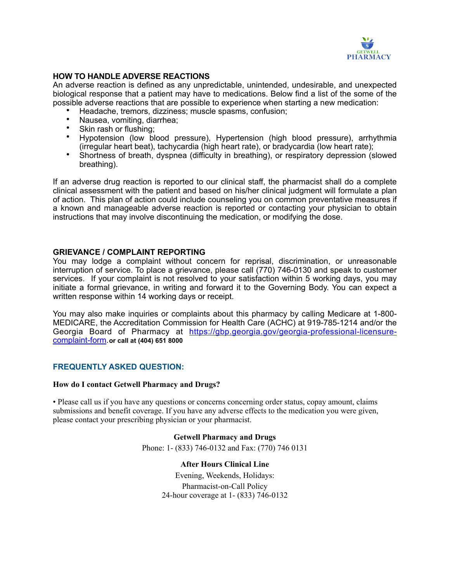

## **HOW TO HANDLE ADVERSE REACTIONS**

An adverse reaction is defined as any unpredictable, unintended, undesirable, and unexpected biological response that a patient may have to medications. Below find a list of the some of the possible adverse reactions that are possible to experience when starting a new medication:

- Headache, tremors, dizziness; muscle spasms, confusion;
- Nausea, vomiting, diarrhea;
- Skin rash or flushing;
- Hypotension (low blood pressure), Hypertension (high blood pressure), arrhythmia (irregular heart beat), tachycardia (high heart rate), or bradycardia (low heart rate);
- Shortness of breath, dyspnea (difficulty in breathing), or respiratory depression (slowed breathing).

If an adverse drug reaction is reported to our clinical staff, the pharmacist shall do a complete clinical assessment with the patient and based on his/her clinical judgment will formulate a plan of action. This plan of action could include counseling you on common preventative measures if a known and manageable adverse reaction is reported or contacting your physician to obtain instructions that may involve discontinuing the medication, or modifying the dose.

### **GRIEVANCE / COMPLAINT REPORTING**

You may lodge a complaint without concern for reprisal, discrimination, or unreasonable interruption of service. To place a grievance, please call (770) 746-0130 and speak to customer services. If your complaint is not resolved to your satisfaction within 5 working days, you may initiate a formal grievance, in writing and forward it to the Governing Body. You can expect a written response within 14 working days or receipt.

You may also make inquiries or complaints about this pharmacy by calling Medicare at 1-800- MEDICARE, the Accreditation Commission for Health Care (ACHC) at 919-785-1214 and/or the Georgia Board of Pharmacy at https://gbp.georgia.gov/georgia-professional-licensurecomplaint-form. **or call at (404) 651 8000**

# **FREQUENTLY ASKED QUESTION:**

### **How do I contact Getwell Pharmacy and Drugs?**

• Please call us if you have any questions or concerns concerning order status, copay amount, claims submissions and benefit coverage. If you have any adverse effects to the medication you were given, please contact your prescribing physician or your pharmacist.

> **Getwell Pharmacy and Drugs**  Phone: 1- (833) 746-0132 and Fax: (770) 746 0131

### **After Hours Clinical Line**

Evening, Weekends, Holidays: Pharmacist-on-Call Policy 24-hour coverage at 1- (833) 746-0132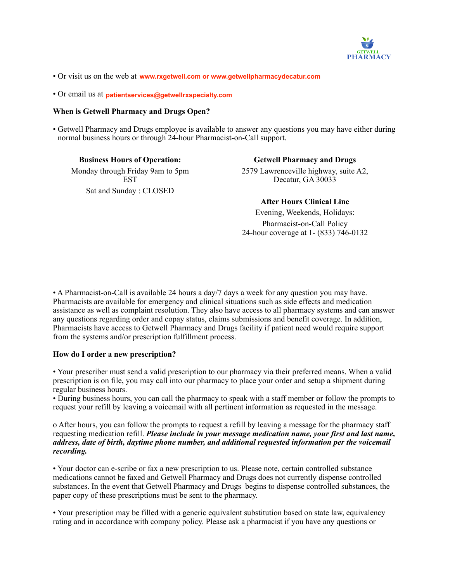

- Or visit us on the web at www.rxgetwell.com or www.getwellpharmacydecatur.com
- $\bullet$  Or email us at patientservices@getwellrxspecialty.com

### **When is Getwell Pharmacy and Drugs Open?**

• Getwell Pharmacy and Drugs employee is available to answer any questions you may have either during normal business hours or through 24-hour Pharmacist-on-Call support.

**Business Hours of Operation:**

Monday through Friday 9am to 5pm **EST** Sat and Sunday : CLOSED

**Getwell Pharmacy and Drugs**  2579 Lawrenceville highway, suite A2, Decatur, GA 30033

**After Hours Clinical Line**  Evening, Weekends, Holidays: Pharmacist-on-Call Policy 24-hour coverage at 1- (833) 746-0132

• A Pharmacist-on-Call is available 24 hours a day/7 days a week for any question you may have. Pharmacists are available for emergency and clinical situations such as side effects and medication assistance as well as complaint resolution. They also have access to all pharmacy systems and can answer any questions regarding order and copay status, claims submissions and benefit coverage. In addition, Pharmacists have access to Getwell Pharmacy and Drugs facility if patient need would require support from the systems and/or prescription fulfillment process.

#### **How do I order a new prescription?**

• Your prescriber must send a valid prescription to our pharmacy via their preferred means. When a valid prescription is on file, you may call into our pharmacy to place your order and setup a shipment during regular business hours.

• During business hours, you can call the pharmacy to speak with a staff member or follow the prompts to request your refill by leaving a voicemail with all pertinent information as requested in the message.

o After hours, you can follow the prompts to request a refill by leaving a message for the pharmacy staff requesting medication refill. *Please include in your message medication name, your first and last name, address, date of birth, daytime phone number, and additional requested information per the voicemail recording.* 

• Your doctor can e-scribe or fax a new prescription to us. Please note, certain controlled substance medications cannot be faxed and Getwell Pharmacy and Drugs does not currently dispense controlled substances. In the event that Getwell Pharmacy and Drugs begins to dispense controlled substances, the paper copy of these prescriptions must be sent to the pharmacy.

• Your prescription may be filled with a generic equivalent substitution based on state law, equivalency rating and in accordance with company policy. Please ask a pharmacist if you have any questions or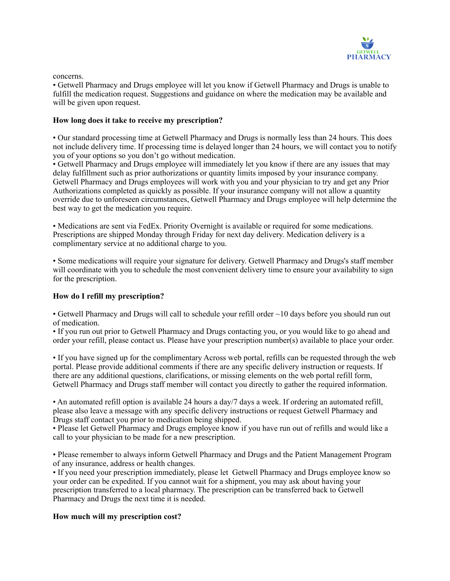

concerns.

• Getwell Pharmacy and Drugs employee will let you know if Getwell Pharmacy and Drugs is unable to fulfill the medication request. Suggestions and guidance on where the medication may be available and will be given upon request.

#### **How long does it take to receive my prescription?**

• Our standard processing time at Getwell Pharmacy and Drugs is normally less than 24 hours. This does not include delivery time. If processing time is delayed longer than 24 hours, we will contact you to notify you of your options so you don't go without medication.

• Getwell Pharmacy and Drugs employee will immediately let you know if there are any issues that may delay fulfillment such as prior authorizations or quantity limits imposed by your insurance company. Getwell Pharmacy and Drugs employees will work with you and your physician to try and get any Prior Authorizations completed as quickly as possible. If your insurance company will not allow a quantity override due to unforeseen circumstances, Getwell Pharmacy and Drugs employee will help determine the best way to get the medication you require.

• Medications are sent via FedEx. Priority Overnight is available or required for some medications. Prescriptions are shipped Monday through Friday for next day delivery. Medication delivery is a complimentary service at no additional charge to you.

• Some medications will require your signature for delivery. Getwell Pharmacy and Drugs's staff member will coordinate with you to schedule the most convenient delivery time to ensure your availability to sign for the prescription.

### **How do I refill my prescription?**

• Getwell Pharmacy and Drugs will call to schedule your refill order ~10 days before you should run out of medication.

• If you run out prior to Getwell Pharmacy and Drugs contacting you, or you would like to go ahead and order your refill, please contact us. Please have your prescription number(s) available to place your order.

• If you have signed up for the complimentary Across web portal, refills can be requested through the web portal. Please provide additional comments if there are any specific delivery instruction or requests. If there are any additional questions, clarifications, or missing elements on the web portal refill form, Getwell Pharmacy and Drugs staff member will contact you directly to gather the required information.

• An automated refill option is available 24 hours a day/7 days a week. If ordering an automated refill, please also leave a message with any specific delivery instructions or request Getwell Pharmacy and Drugs staff contact you prior to medication being shipped.

• Please let Getwell Pharmacy and Drugs employee know if you have run out of refills and would like a call to your physician to be made for a new prescription.

• Please remember to always inform Getwell Pharmacy and Drugs and the Patient Management Program of any insurance, address or health changes.

• If you need your prescription immediately, please let Getwell Pharmacy and Drugs employee know so your order can be expedited. If you cannot wait for a shipment, you may ask about having your prescription transferred to a local pharmacy. The prescription can be transferred back to Getwell Pharmacy and Drugs the next time it is needed.

#### **How much will my prescription cost?**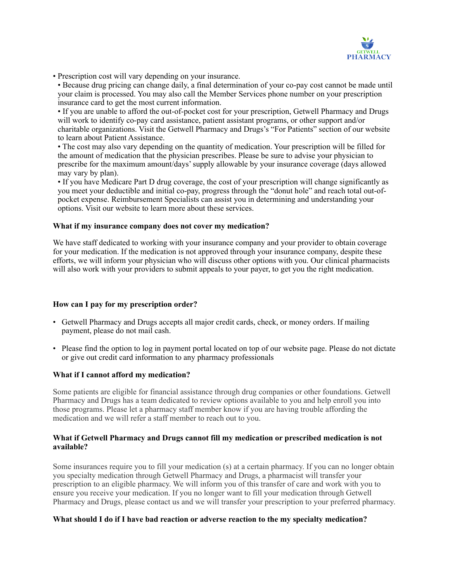

• Prescription cost will vary depending on your insurance.

• Because drug pricing can change daily, a final determination of your co-pay cost cannot be made until your claim is processed. You may also call the Member Services phone number on your prescription insurance card to get the most current information.

• If you are unable to afford the out-of-pocket cost for your prescription, Getwell Pharmacy and Drugs will work to identify co-pay card assistance, patient assistant programs, or other support and/or charitable organizations. Visit the Getwell Pharmacy and Drugs's "For Patients" section of our website to learn about Patient Assistance.

• The cost may also vary depending on the quantity of medication. Your prescription will be filled for the amount of medication that the physician prescribes. Please be sure to advise your physician to prescribe for the maximum amount/days' supply allowable by your insurance coverage (days allowed may vary by plan).

• If you have Medicare Part D drug coverage, the cost of your prescription will change significantly as you meet your deductible and initial co-pay, progress through the "donut hole" and reach total out-ofpocket expense. Reimbursement Specialists can assist you in determining and understanding your options. Visit our website to learn more about these services.

### **What if my insurance company does not cover my medication?**

We have staff dedicated to working with your insurance company and your provider to obtain coverage for your medication. If the medication is not approved through your insurance company, despite these efforts, we will inform your physician who will discuss other options with you. Our clinical pharmacists will also work with your providers to submit appeals to your payer, to get you the right medication.

### **How can I pay for my prescription order?**

- Getwell Pharmacy and Drugs accepts all major credit cards, check, or money orders. If mailing payment, please do not mail cash.
- Please find the option to log in payment portal located on top of our website page. Please do not dictate or give out credit card information to any pharmacy professionals

### **What if I cannot afford my medication?**

Some patients are eligible for financial assistance through drug companies or other foundations. Getwell Pharmacy and Drugs has a team dedicated to review options available to you and help enroll you into those programs. Please let a pharmacy staff member know if you are having trouble affording the medication and we will refer a staff member to reach out to you.

### **What if Getwell Pharmacy and Drugs cannot fill my medication or prescribed medication is not available?**

Some insurances require you to fill your medication (s) at a certain pharmacy. If you can no longer obtain you specialty medication through Getwell Pharmacy and Drugs, a pharmacist will transfer your prescription to an eligible pharmacy. We will inform you of this transfer of care and work with you to ensure you receive your medication. If you no longer want to fill your medication through Getwell Pharmacy and Drugs, please contact us and we will transfer your prescription to your preferred pharmacy.

### **What should I do if I have bad reaction or adverse reaction to the my specialty medication?**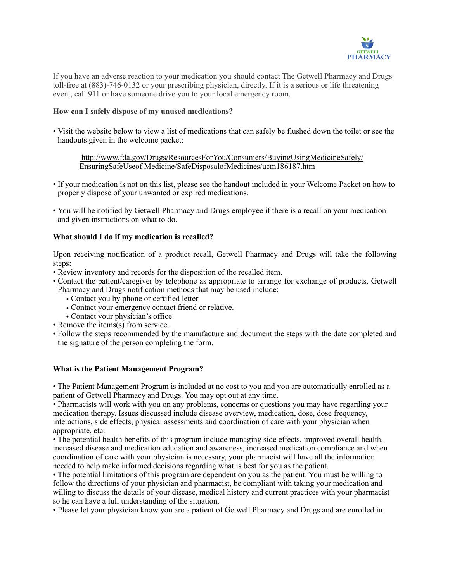

If you have an adverse reaction to your medication you should contact The Getwell Pharmacy and Drugs toll-free at (883)-746-0132 or your prescribing physician, directly. If it is a serious or life threatening event, call 911 or have someone drive you to your local emergency room.

### **How can I safely dispose of my unused medications?**

• Visit the website below to view a list of medications that can safely be flushed down the toilet or see the handouts given in the welcome packet:

 http://www.fda.gov/Drugs/ResourcesForYou/Consumers/BuyingUsingMedicineSafely/ EnsuringSafeUseof Medicine/SafeDisposalofMedicines/ucm186187.htm

- If your medication is not on this list, please see the handout included in your Welcome Packet on how to properly dispose of your unwanted or expired medications.
- You will be notified by Getwell Pharmacy and Drugs employee if there is a recall on your medication and given instructions on what to do.

#### **What should I do if my medication is recalled?**

Upon receiving notification of a product recall, Getwell Pharmacy and Drugs will take the following steps:

- Review inventory and records for the disposition of the recalled item.
- Contact the patient/caregiver by telephone as appropriate to arrange for exchange of products. Getwell Pharmacy and Drugs notification methods that may be used include:
	- Contact you by phone or certified letter
	- Contact your emergency contact friend or relative.
	- Contact your physician's office
- Remove the items(s) from service.
- Follow the steps recommended by the manufacture and document the steps with the date completed and the signature of the person completing the form.

#### **What is the Patient Management Program?**

• The Patient Management Program is included at no cost to you and you are automatically enrolled as a patient of Getwell Pharmacy and Drugs. You may opt out at any time.

• Pharmacists will work with you on any problems, concerns or questions you may have regarding your medication therapy. Issues discussed include disease overview, medication, dose, dose frequency, interactions, side effects, physical assessments and coordination of care with your physician when appropriate, etc.

• The potential health benefits of this program include managing side effects, improved overall health, increased disease and medication education and awareness, increased medication compliance and when coordination of care with your physician is necessary, your pharmacist will have all the information needed to help make informed decisions regarding what is best for you as the patient.

• The potential limitations of this program are dependent on you as the patient. You must be willing to follow the directions of your physician and pharmacist, be compliant with taking your medication and willing to discuss the details of your disease, medical history and current practices with your pharmacist so he can have a full understanding of the situation.

• Please let your physician know you are a patient of Getwell Pharmacy and Drugs and are enrolled in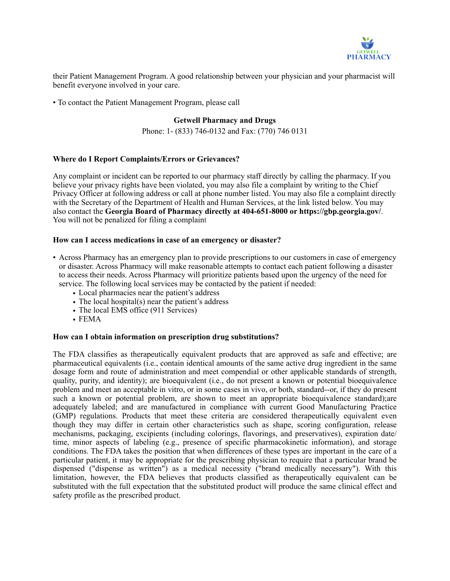

their Patient Management Program. A good relationship between your physician and your pharmacist will benefit everyone involved in your care.

• To contact the Patient Management Program, please call

#### **Getwell Pharmacy and Drugs**

Phone: 1- (833) 746-0132 and Fax: (770) 746 0131

### **Where do I Report Complaints/Errors or Grievances?**

Any complaint or incident can be reported to our pharmacy staff directly by calling the pharmacy. If you believe your privacy rights have been violated, you may also file a complaint by writing to the Chief Privacy Officer at following address or call at phone number listed. You may also file a complaint directly with the Secretary of the Department of Health and Human Services, at the link listed below. You may also contact the **Georgia Board of Pharmacy directly at 404-651-8000 or https://gbp.georgia.gov/**. You will not be penalized for filing a complaint

### **How can I access medications in case of an emergency or disaster?**

- Across Pharmacy has an emergency plan to provide prescriptions to our customers in case of emergency or disaster. Across Pharmacy will make reasonable attempts to contact each patient following a disaster to access their needs. Across Pharmacy will prioritize patients based upon the urgency of the need for service. The following local services may be contacted by the patient if needed:
	- Local pharmacies near the patient's address
	- The local hospital(s) near the patient's address
	- The local EMS office (911 Services)
	- FEMA

### **How can I obtain information on prescription drug substitutions?**

The FDA classifies as therapeutically equivalent products that are approved as safe and effective; are pharmaceutical equivalents (i.e., contain identical amounts of the same active drug ingredient in the same dosage form and route of administration and meet compendial or other applicable standards of strength, quality, purity, and identity); are bioequivalent (i.e., do not present a known or potential bioequivalence problem and meet an acceptable in vitro, or in some cases in vivo, or both, standard--or, if they do present such a known or potential problem, are shown to meet an appropriate bioequivalence standard); are adequately labeled; and are manufactured in compliance with current Good Manufacturing Practice (GMP) regulations. Products that meet these criteria are considered therapeutically equivalent even though they may differ in certain other characteristics such as shape, scoring configuration, release mechanisms, packaging, excipients (including colorings, flavorings, and preservatives), expiration date/ time, minor aspects of labeling (e.g., presence of specific pharmacokinetic information), and storage conditions. The FDA takes the position that when differences of these types are important in the care of a particular patient, it may be appropriate for the prescribing physician to require that a particular brand be dispensed ("dispense as written") as a medical necessity ("brand medically necessary"). With this limitation, however, the FDA believes that products classified as therapeutically equivalent can be substituted with the full expectation that the substituted product will produce the same clinical effect and safety profile as the prescribed product.